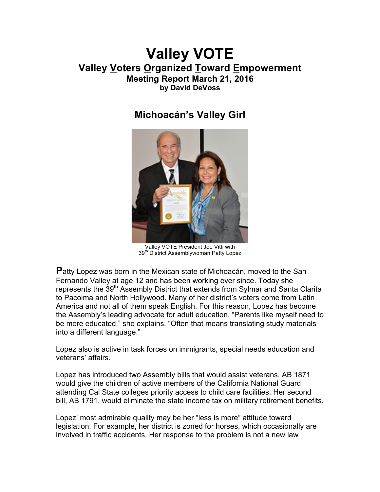# **Valley VOTE Valley Voters Organized Toward Empowerment Meeting Report March 21, 2016 by David DeVoss**

# **Michoacán's Valley Girl**



Valley VOTE President Joe Vitti with 39<sup>th</sup> District Assemblywoman Patty Lopez

**P**atty Lopez was born in the Mexican state of Michoacán, moved to the San Fernando Valley at age 12 and has been working ever since. Today she represents the 39<sup>th</sup> Assembly District that extends from Sylmar and Santa Clarita to Pacoima and North Hollywood. Many of her district's voters come from Latin America and not all of them speak English. For this reason, Lopez has become the Assembly's leading advocate for adult education. "Parents like myself need to be more educated," she explains. "Often that means translating study materials into a different language."

Lopez also is active in task forces on immigrants, special needs education and veterans' affairs.

Lopez has introduced two Assembly bills that would assist veterans. AB 1871 would give the children of active members of the California National Guard attending Cal State colleges priority access to child care facilities. Her second bill, AB 1791, would eliminate the state income tax on military retirement benefits.

Lopez' most admirable quality may be her "less is more" attitude toward legislation. For example, her district is zoned for horses, which occasionally are involved in traffic accidents. Her response to the problem is not a new law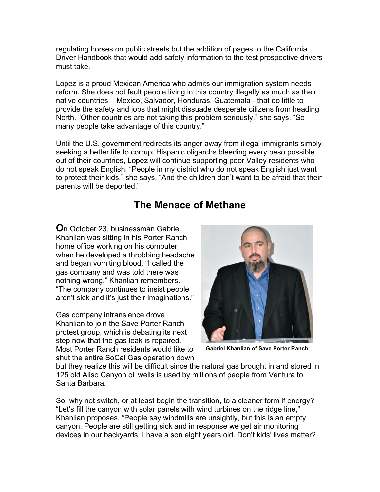regulating horses on public streets but the addition of pages to the California Driver Handbook that would add safety information to the test prospective drivers must take.

Lopez is a proud Mexican America who admits our immigration system needs reform. She does not fault people living in this country illegally as much as their native countries – Mexico, Salvador, Honduras, Guatemala - that do little to provide the safety and jobs that might dissuade desperate citizens from heading North. "Other countries are not taking this problem seriously," she says. "So many people take advantage of this country."

Until the U.S. government redirects its anger away from illegal immigrants simply seeking a better life to corrupt Hispanic oligarchs bleeding every peso possible out of their countries, Lopez will continue supporting poor Valley residents who do not speak English. "People in my district who do not speak English just want to protect their kids," she says. "And the children don't want to be afraid that their parents will be deported."

# **The Menace of Methane**

**O**n October 23, businessman Gabriel Khanlian was sitting in his Porter Ranch home office working on his computer when he developed a throbbing headache and began vomiting blood. "I called the gas company and was told there was nothing wrong," Khanlian remembers. "The company continues to insist people aren't sick and it's just their imaginations."

Gas company intransience drove Khanlian to join the Save Porter Ranch protest group, which is debating its next step now that the gas leak is repaired. Most Porter Ranch residents would like to shut the entire SoCal Gas operation down



**Gabriel Khanlian of Save Porter Ranch**

but they realize this will be difficult since the natural gas brought in and stored in 125 old Aliso Canyon oil wells is used by millions of people from Ventura to Santa Barbara.

So, why not switch, or at least begin the transition, to a cleaner form if energy? "Let's fill the canyon with solar panels with wind turbines on the ridge line," Khanlian proposes. "People say windmills are unsightly, but this is an empty canyon. People are still getting sick and in response we get air monitoring devices in our backyards. I have a son eight years old. Don't kids' lives matter?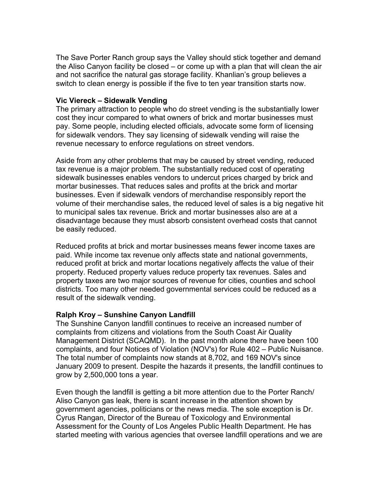The Save Porter Ranch group says the Valley should stick together and demand the Aliso Canyon facility be closed – or come up with a plan that will clean the air and not sacrifice the natural gas storage facility. Khanlian's group believes a switch to clean energy is possible if the five to ten year transition starts now.

#### **Vic Viereck – Sidewalk Vending**

The primary attraction to people who do street vending is the substantially lower cost they incur compared to what owners of brick and mortar businesses must pay. Some people, including elected officials, advocate some form of licensing for sidewalk vendors. They say licensing of sidewalk vending will raise the revenue necessary to enforce regulations on street vendors.

Aside from any other problems that may be caused by street vending, reduced tax revenue is a major problem. The substantially reduced cost of operating sidewalk businesses enables vendors to undercut prices charged by brick and mortar businesses. That reduces sales and profits at the brick and mortar businesses. Even if sidewalk vendors of merchandise responsibly report the volume of their merchandise sales, the reduced level of sales is a big negative hit to municipal sales tax revenue. Brick and mortar businesses also are at a disadvantage because they must absorb consistent overhead costs that cannot be easily reduced.

Reduced profits at brick and mortar businesses means fewer income taxes are paid. While income tax revenue only affects state and national governments, reduced profit at brick and mortar locations negatively affects the value of their property. Reduced property values reduce property tax revenues. Sales and property taxes are two major sources of revenue for cities, counties and school districts. Too many other needed governmental services could be reduced as a result of the sidewalk vending.

## **Ralph Kroy – Sunshine Canyon Landfill**

The Sunshine Canyon landfill continues to receive an increased number of complaints from citizens and violations from the South Coast Air Quality Management District (SCAQMD). In the past month alone there have been 100 complaints, and four Notices of Violation (NOV's) for Rule 402 – Public Nuisance. The total number of complaints now stands at 8,702, and 169 NOV's since January 2009 to present. Despite the hazards it presents, the landfill continues to grow by 2,500,000 tons a year.

Even though the landfill is getting a bit more attention due to the Porter Ranch/ Aliso Canyon gas leak, there is scant increase in the attention shown by government agencies, politicians or the news media. The sole exception is Dr. Cyrus Rangan, Director of the Bureau of Toxicology and Environmental Assessment for the County of Los Angeles Public Health Department. He has started meeting with various agencies that oversee landfill operations and we are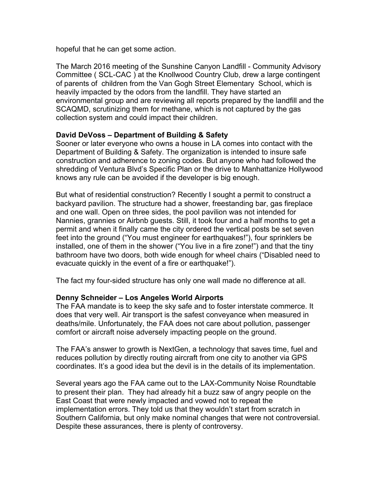hopeful that he can get some action.

The March 2016 meeting of the Sunshine Canyon Landfill - Community Advisory Committee ( SCL-CAC ) at the Knollwood Country Club, drew a large contingent of parents of children from the Van Gogh Street Elementary School, which is heavily impacted by the odors from the landfill. They have started an environmental group and are reviewing all reports prepared by the landfill and the SCAQMD, scrutinizing them for methane, which is not captured by the gas collection system and could impact their children.

## **David DeVoss – Department of Building & Safety**

Sooner or later everyone who owns a house in LA comes into contact with the Department of Building & Safety. The organization is intended to insure safe construction and adherence to zoning codes. But anyone who had followed the shredding of Ventura Blvd's Specific Plan or the drive to Manhattanize Hollywood knows any rule can be avoided if the developer is big enough.

But what of residential construction? Recently I sought a permit to construct a backyard pavilion. The structure had a shower, freestanding bar, gas fireplace and one wall. Open on three sides, the pool pavilion was not intended for Nannies, grannies or Airbnb guests. Still, it took four and a half months to get a permit and when it finally came the city ordered the vertical posts be set seven feet into the ground ("You must engineer for earthquakes!"), four sprinklers be installed, one of them in the shower ("You live in a fire zone!") and that the tiny bathroom have two doors, both wide enough for wheel chairs ("Disabled need to evacuate quickly in the event of a fire or earthquake!").

The fact my four-sided structure has only one wall made no difference at all.

## **Denny Schneider – Los Angeles World Airports**

The FAA mandate is to keep the sky safe and to foster interstate commerce. It does that very well. Air transport is the safest conveyance when measured in deaths/mile. Unfortunately, the FAA does not care about pollution, passenger comfort or aircraft noise adversely impacting people on the ground.

The FAA's answer to growth is NextGen, a technology that saves time, fuel and reduces pollution by directly routing aircraft from one city to another via GPS coordinates. It's a good idea but the devil is in the details of its implementation.

Several years ago the FAA came out to the LAX-Community Noise Roundtable to present their plan. They had already hit a buzz saw of angry people on the East Coast that were newly impacted and vowed not to repeat the implementation errors. They told us that they wouldn't start from scratch in Southern California, but only make nominal changes that were not controversial. Despite these assurances, there is plenty of controversy.